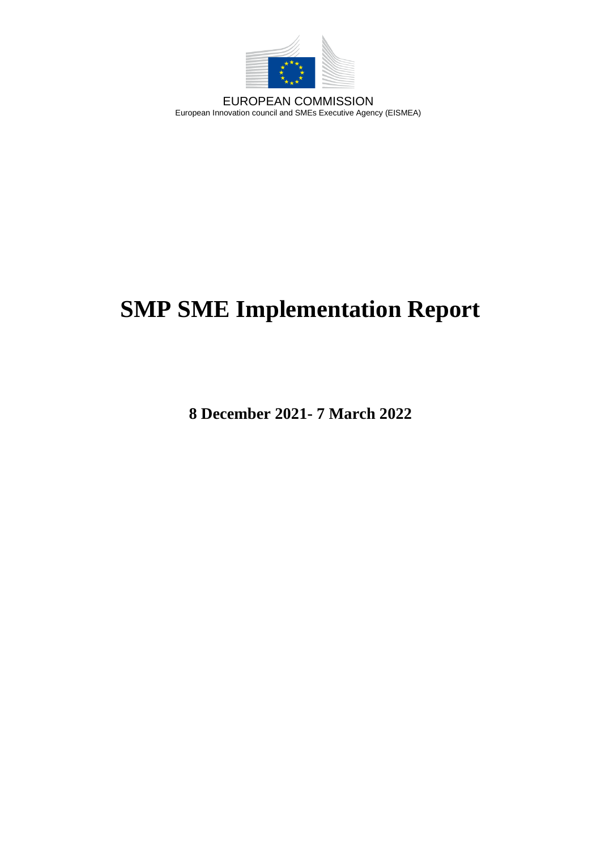

EUROPEAN COMMISSION European Innovation council and SMEs Executive Agency (EISMEA)

# **SMP SME Implementation Report**

**8 December 2021- 7 March 2022**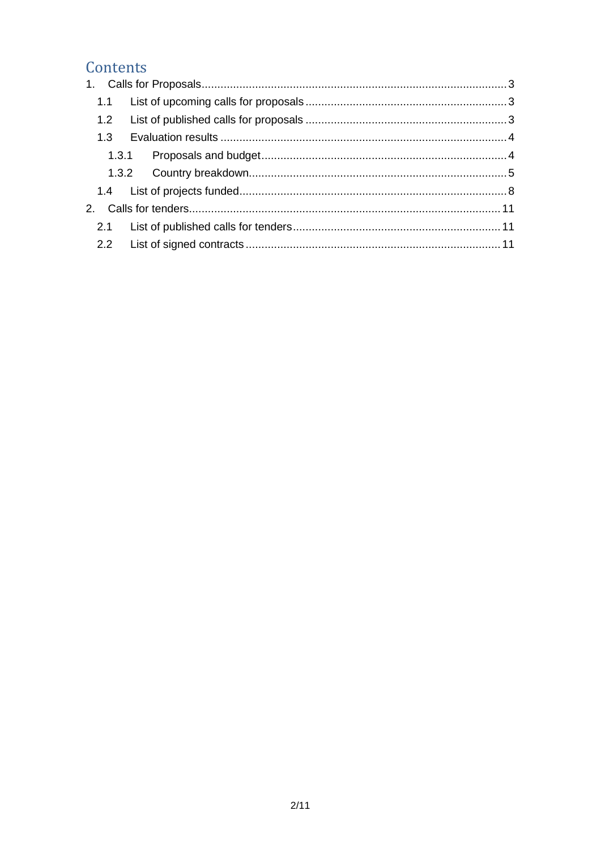## Contents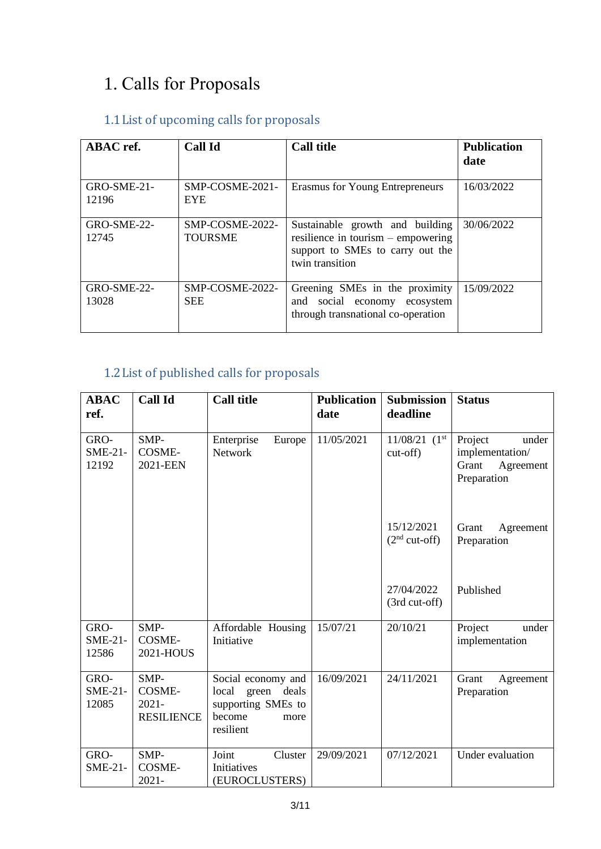## <span id="page-2-0"></span>1. Calls for Proposals

## <span id="page-2-1"></span>1.1List of upcoming calls for proposals

| <b>ABAC</b> ref.       | <b>Call Id</b>                    | <b>Call title</b>                                                                                                              | <b>Publication</b><br>date |
|------------------------|-----------------------------------|--------------------------------------------------------------------------------------------------------------------------------|----------------------------|
| GRO-SME-21-<br>12196   | SMP-COSME-2021-<br><b>EYE</b>     | Erasmus for Young Entrepreneurs                                                                                                | 16/03/2022                 |
| $GRO-SME-22-$<br>12745 | SMP-COSME-2022-<br><b>TOURSME</b> | Sustainable growth and building<br>resilience in tourism $-$ empowering<br>support to SMEs to carry out the<br>twin transition | 30/06/2022                 |
| GRO-SME-22-<br>13028   | SMP-COSME-2022-<br><b>SEE</b>     | Greening SMEs in the proximity<br>social economy ecosystem<br>and<br>through transnational co-operation                        | 15/09/2022                 |

## <span id="page-2-2"></span>1.2List of published calls for proposals

| <b>ABAC</b><br>ref.        | <b>Call Id</b>                                         | <b>Call title</b>                                                                            | <b>Publication</b><br>date | <b>Submission</b><br>deadline | <b>Status</b>                                                            |
|----------------------------|--------------------------------------------------------|----------------------------------------------------------------------------------------------|----------------------------|-------------------------------|--------------------------------------------------------------------------|
| GRO-<br>$SME-21-$<br>12192 | SMP-<br><b>COSME-</b><br>2021-EEN                      | Enterprise<br>Europe<br><b>Network</b>                                                       | 11/05/2021                 | $11/08/21$ $(1st$<br>cut-off) | Project<br>under<br>implementation/<br>Grant<br>Agreement<br>Preparation |
|                            |                                                        |                                                                                              |                            | 15/12/2021<br>$(2nd cut-off)$ | Grant<br>Agreement<br>Preparation                                        |
|                            |                                                        |                                                                                              |                            | 27/04/2022<br>(3rd cut-off)   | Published                                                                |
| GRO-<br>$SME-21-$<br>12586 | SMP-<br><b>COSME-</b><br>2021-HOUS                     | Affordable Housing<br>Initiative                                                             | 15/07/21                   | 20/10/21                      | Project<br>under<br>implementation                                       |
| GRO-<br>$SME-21-$<br>12085 | SMP-<br><b>COSME-</b><br>$2021 -$<br><b>RESILIENCE</b> | Social economy and<br>local green deals<br>supporting SMEs to<br>become<br>more<br>resilient | 16/09/2021                 | 24/11/2021                    | Grant<br>Agreement<br>Preparation                                        |
| GRO-<br><b>SME-21-</b>     | SMP-<br>COSME-<br>$2021 -$                             | Joint<br>Cluster<br>Initiatives<br>(EUROCLUSTERS)                                            | 29/09/2021                 | 07/12/2021                    | Under evaluation                                                         |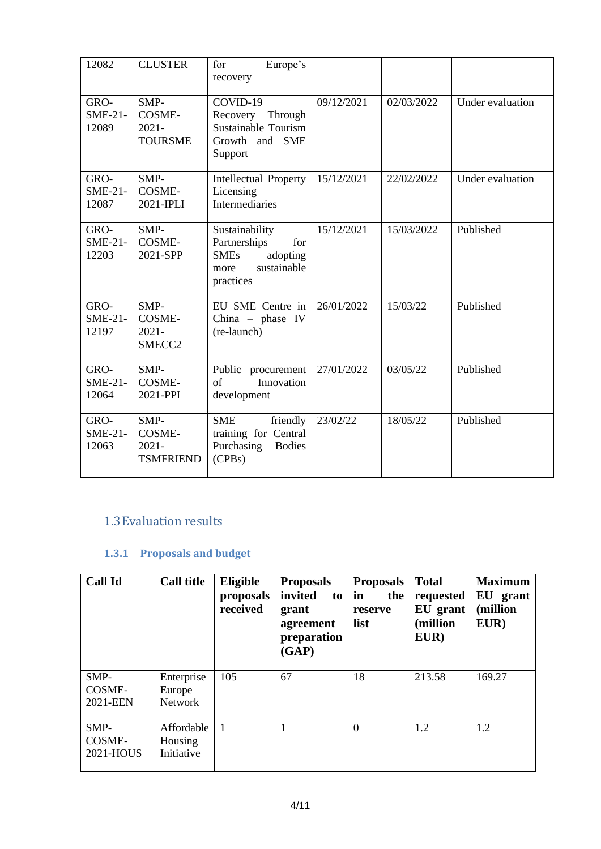| 12082                      | <b>CLUSTER</b>                                          | Europe's<br>for<br>recovery                                                                          |            |            |                  |
|----------------------------|---------------------------------------------------------|------------------------------------------------------------------------------------------------------|------------|------------|------------------|
| GRO-<br>$SME-21-$<br>12089 | SMP-<br>COSME-<br>$2021 -$<br><b>TOURSME</b>            | COVID-19<br>Recovery<br>Through<br><b>Sustainable Tourism</b><br>Growth and SME<br>Support           | 09/12/2021 | 02/03/2022 | Under evaluation |
| GRO-<br>$SME-21-$<br>12087 | SMP-<br><b>COSME-</b><br>2021-IPLI                      | Intellectual Property<br>Licensing<br>Intermediaries                                                 | 15/12/2021 | 22/02/2022 | Under evaluation |
| GRO-<br>$SME-21-$<br>12203 | SMP-<br>COSME-<br>2021-SPP                              | Sustainability<br>Partnerships<br>for<br><b>SMEs</b><br>adopting<br>sustainable<br>more<br>practices | 15/12/2021 | 15/03/2022 | Published        |
| GRO-<br>$SME-21-$<br>12197 | SMP-<br><b>COSME-</b><br>$2021 -$<br>SMECC <sub>2</sub> | EU SME Centre in<br>China $-$ phase IV<br>(re-launch)                                                | 26/01/2022 | 15/03/22   | Published        |
| GRO-<br>$SME-21-$<br>12064 | SMP-<br>COSME-<br>2021-PPI                              | Public<br>procurement<br>Innovation<br>of<br>development                                             | 27/01/2022 | 03/05/22   | Published        |
| GRO-<br>$SME-21-$<br>12063 | SMP-<br><b>COSME-</b><br>$2021 -$<br><b>TSMFRIEND</b>   | <b>SME</b><br>friendly<br>training for Central<br>Purchasing<br><b>Bodies</b><br>(CPBs)              | 23/02/22   | 18/05/22   | Published        |

#### <span id="page-3-0"></span>1.3Evaluation results

#### <span id="page-3-1"></span>**1.3.1 Proposals and budget**

| <b>Call Id</b>              | <b>Call title</b>                      | Eligible<br>proposals<br>received | <b>Proposals</b><br>invited<br>to<br>grant<br>agreement<br>preparation<br>(GAP) | <b>Proposals</b><br>in<br>the<br>reserve<br>list | <b>Total</b><br>requested<br>EU grant<br>(million<br>EUR) | <b>Maximum</b><br>EU<br>grant<br>(million<br>EUR) |
|-----------------------------|----------------------------------------|-----------------------------------|---------------------------------------------------------------------------------|--------------------------------------------------|-----------------------------------------------------------|---------------------------------------------------|
| SMP-<br>COSME-<br>2021-EEN  | Enterprise<br>Europe<br><b>Network</b> | 105                               | 67                                                                              | 18                                               | 213.58                                                    | 169.27                                            |
| SMP-<br>COSME-<br>2021-HOUS | Affordable<br>Housing<br>Initiative    | 1                                 | 1                                                                               | $\theta$                                         | 1.2                                                       | 1.2                                               |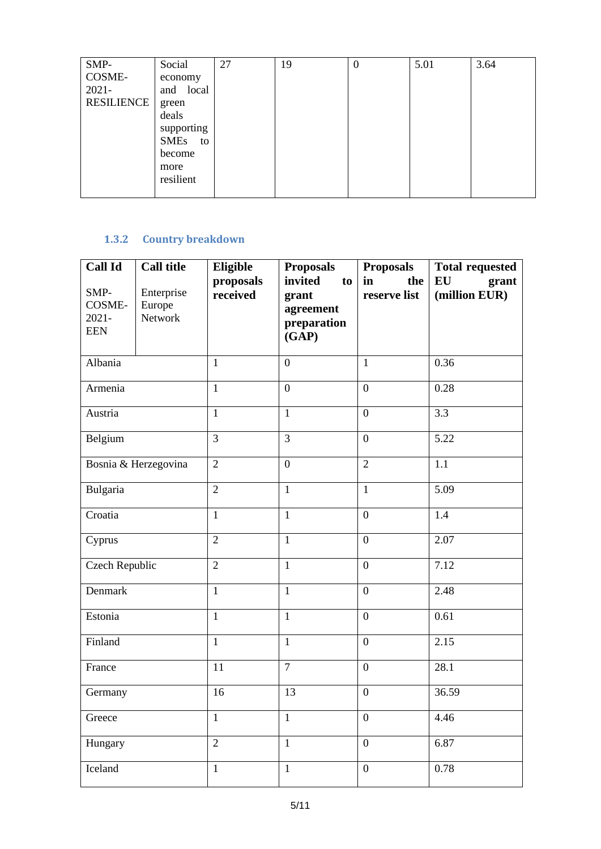| SMP-              | Social     | 27 | 19 | $\theta$ | 5.01 | 3.64 |
|-------------------|------------|----|----|----------|------|------|
| COSME-            | economy    |    |    |          |      |      |
| $2021 -$          | and local  |    |    |          |      |      |
| <b>RESILIENCE</b> | green      |    |    |          |      |      |
|                   | deals      |    |    |          |      |      |
|                   | supporting |    |    |          |      |      |
|                   | SMEs to    |    |    |          |      |      |
|                   | become     |    |    |          |      |      |
|                   | more       |    |    |          |      |      |
|                   | resilient  |    |    |          |      |      |
|                   |            |    |    |          |      |      |

#### <span id="page-4-0"></span>**1.3.2 Country breakdown**

| <b>Call Id</b><br>SMP-<br>COSME-<br>$2021 -$<br><b>EEN</b> | <b>Call title</b><br>Enterprise<br>Europe<br>Network | <b>Eligible</b><br>proposals<br>received | <b>Proposals</b><br>invited<br>to<br>grant<br>agreement<br>preparation<br>(GAP) | <b>Proposals</b><br>in<br>the<br>reserve list | <b>Total requested</b><br>EU<br>grant<br>(million EUR) |
|------------------------------------------------------------|------------------------------------------------------|------------------------------------------|---------------------------------------------------------------------------------|-----------------------------------------------|--------------------------------------------------------|
| Albania                                                    |                                                      | 1                                        | $\boldsymbol{0}$                                                                | $\mathbf{1}$                                  | 0.36                                                   |
| Armenia                                                    |                                                      | $\mathbf{1}$                             | $\overline{0}$                                                                  | $\boldsymbol{0}$                              | 0.28                                                   |
| Austria                                                    |                                                      | $\mathbf{1}$                             | $\mathbf{1}$                                                                    | $\boldsymbol{0}$                              | 3.3                                                    |
| Belgium                                                    |                                                      | $\overline{3}$                           | $\overline{3}$                                                                  | $\boldsymbol{0}$                              | 5.22                                                   |
|                                                            | Bosnia & Herzegovina                                 | $\overline{2}$                           | $\boldsymbol{0}$                                                                | $\overline{2}$                                | 1.1                                                    |
| Bulgaria                                                   |                                                      | $\overline{2}$                           | $\mathbf{1}$                                                                    | $\mathbf{1}$                                  | 5.09                                                   |
| Croatia                                                    |                                                      | $\mathbf{1}$                             | $\mathbf{1}$                                                                    | $\boldsymbol{0}$                              | 1.4                                                    |
| Cyprus                                                     |                                                      | $\overline{2}$                           | $\mathbf{1}$                                                                    | $\boldsymbol{0}$                              | 2.07                                                   |
| Czech Republic                                             |                                                      | $\overline{2}$                           | $\mathbf{1}$                                                                    | $\boldsymbol{0}$                              | 7.12                                                   |
| Denmark                                                    |                                                      | $\mathbf{1}$                             | $\mathbf{1}$                                                                    | $\boldsymbol{0}$                              | 2.48                                                   |
| Estonia                                                    |                                                      | $\mathbf{1}$                             | $\mathbf{1}$                                                                    | $\boldsymbol{0}$                              | 0.61                                                   |
| Finland                                                    |                                                      | $\mathbf{1}$                             | $\mathbf{1}$                                                                    | $\boldsymbol{0}$                              | 2.15                                                   |
| France                                                     |                                                      | $\overline{7}$<br>11<br>$\boldsymbol{0}$ |                                                                                 |                                               | 28.1                                                   |
| Germany                                                    |                                                      | 16<br>13<br>$\boldsymbol{0}$             |                                                                                 |                                               | 36.59                                                  |
| Greece                                                     |                                                      | $\mathbf{1}$                             | $\mathbf{1}$                                                                    | $\boldsymbol{0}$                              | 4.46                                                   |
| Hungary                                                    |                                                      | $\overline{2}$                           | $\mathbf{1}$                                                                    | $\boldsymbol{0}$                              | 6.87                                                   |
| Iceland                                                    |                                                      | $\mathbf{1}$                             | $\mathbf{1}$                                                                    | $\boldsymbol{0}$                              | $0.78\,$                                               |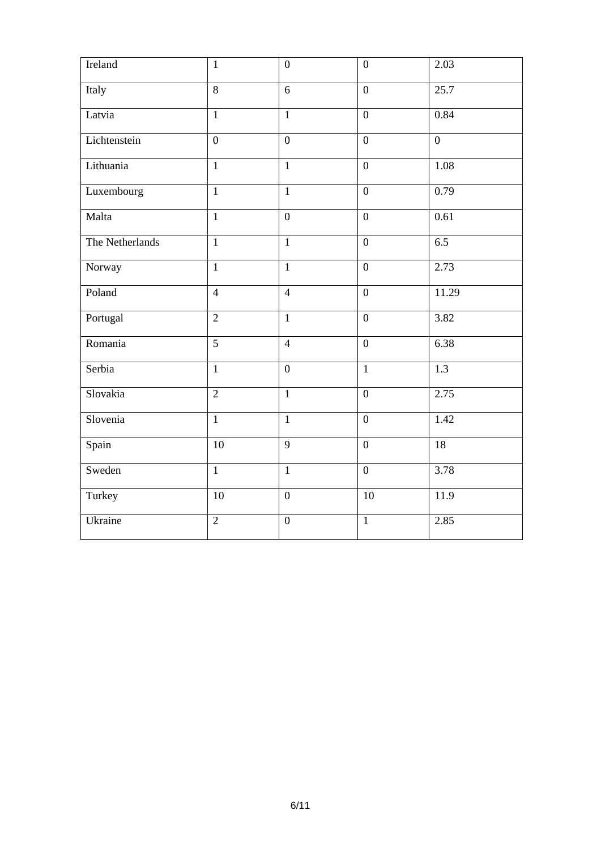| Ireland         | $\mathbf{1}$   | $\overline{0}$ | $\overline{0}$   | 2.03              |
|-----------------|----------------|----------------|------------------|-------------------|
| Italy           | $\overline{8}$ | 6              | $\boldsymbol{0}$ | $\overline{25.7}$ |
| Latvia          | $\overline{1}$ | $\overline{1}$ | $\boldsymbol{0}$ | 0.84              |
| Lichtenstein    | $\overline{0}$ | $\overline{0}$ | $\boldsymbol{0}$ | $\overline{0}$    |
| Lithuania       | $\mathbf{1}$   | $\mathbf{1}$   | $\overline{0}$   | 1.08              |
| Luxembourg      | $\mathbf{1}$   | $\mathbf{1}$   | $\overline{0}$   | 0.79              |
| Malta           | $\overline{1}$ | $\overline{0}$ | $\mathbf{0}$     | 0.61              |
| The Netherlands | $\mathbf{1}$   | $\mathbf{1}$   | $\mathbf{0}$     | 6.5               |
| Norway          | $\overline{1}$ | $\overline{1}$ | $\overline{0}$   | 2.73              |
| Poland          | $\overline{4}$ | $\overline{4}$ | $\boldsymbol{0}$ | 11.29             |
| Portugal        | $\overline{2}$ | $\overline{1}$ | $\overline{0}$   | 3.82              |
| Romania         | $\overline{5}$ | $\overline{4}$ | $\overline{0}$   | 6.38              |
| Serbia          | $\overline{1}$ | $\overline{0}$ | $\overline{1}$   | $\overline{1.3}$  |
| Slovakia        | $\overline{2}$ | $\overline{1}$ | $\boldsymbol{0}$ | 2.75              |
| Slovenia        | $\mathbf{1}$   | $\mathbf{1}$   | $\boldsymbol{0}$ | 1.42              |
| Spain           | 10             | 9              | $\boldsymbol{0}$ | 18                |
| Sweden          | $\mathbf{1}$   | $\mathbf{1}$   | $\mathbf{0}$     | 3.78              |
| Turkey          | 10             | $\overline{0}$ | 10               | 11.9              |
| Ukraine         | $\overline{2}$ | $\overline{0}$ | $\mathbf{1}$     | 2.85              |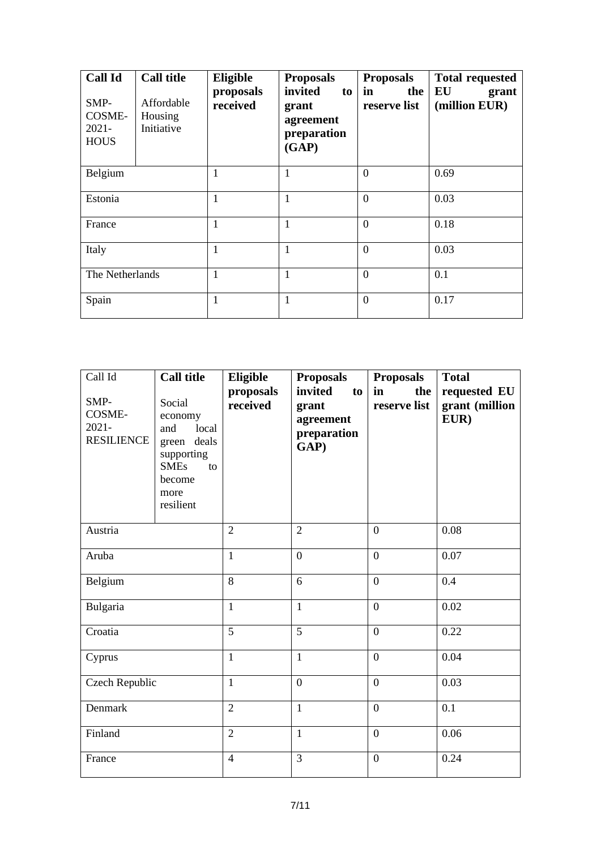| <b>Call Id</b><br>SMP-<br>COSME-<br>$2021 -$<br><b>HOUS</b> | <b>Call title</b><br>Affordable<br>Housing<br>Initiative | Eligible<br>proposals<br>received | <b>Proposals</b><br>invited<br>to<br>grant<br>agreement<br>preparation<br>(GAP) | <b>Proposals</b><br>in<br>the<br>reserve list | <b>Total requested</b><br>EU<br>grant<br>(million EUR) |
|-------------------------------------------------------------|----------------------------------------------------------|-----------------------------------|---------------------------------------------------------------------------------|-----------------------------------------------|--------------------------------------------------------|
| Belgium                                                     |                                                          | 1                                 | 1<br>$\overline{0}$                                                             |                                               | 0.69                                                   |
| Estonia                                                     |                                                          | 1                                 |                                                                                 | $\overline{0}$                                | 0.03                                                   |
| France                                                      | 1                                                        |                                   | 1                                                                               | $\overline{0}$                                | 0.18                                                   |
| Italy                                                       |                                                          | 1                                 | 1                                                                               | $\theta$                                      | 0.03                                                   |
| The Netherlands                                             |                                                          | 1                                 |                                                                                 | $\overline{0}$                                |                                                        |
| Spain                                                       | 1                                                        |                                   |                                                                                 | $\theta$                                      | 0.17                                                   |

| Call Id<br>SMP-<br>COSME-<br>$2021 -$<br><b>RESILIENCE</b> | <b>Call title</b><br>Social<br>economy<br>local<br>and<br>green deals<br>supporting<br><b>SMEs</b><br>to<br>become<br>more<br>resilient | Eligible<br>proposals<br>received | <b>Proposals</b><br>invited<br>to<br>grant<br>agreement<br>preparation<br>GAP) | <b>Proposals</b><br>the<br>in<br>reserve list | <b>Total</b><br>requested EU<br>grant (million<br>EUR) |
|------------------------------------------------------------|-----------------------------------------------------------------------------------------------------------------------------------------|-----------------------------------|--------------------------------------------------------------------------------|-----------------------------------------------|--------------------------------------------------------|
| Austria                                                    |                                                                                                                                         | $\overline{2}$                    | $\overline{2}$                                                                 | $\mathbf{0}$                                  | 0.08                                                   |
| Aruba                                                      |                                                                                                                                         | $\mathbf{1}$                      | $\boldsymbol{0}$                                                               | $\boldsymbol{0}$                              | 0.07                                                   |
| Belgium                                                    |                                                                                                                                         | 8                                 | 6                                                                              | $\overline{0}$                                | 0.4                                                    |
| Bulgaria                                                   |                                                                                                                                         | $\mathbf{1}$                      | $\mathbf{1}$                                                                   | $\boldsymbol{0}$                              | 0.02                                                   |
| Croatia                                                    |                                                                                                                                         | $\overline{5}$                    | 5                                                                              | $\mathbf{0}$                                  | 0.22                                                   |
| Cyprus                                                     |                                                                                                                                         | $\mathbf{1}$                      | $\mathbf{1}$                                                                   | $\overline{0}$                                | 0.04                                                   |
| Czech Republic                                             |                                                                                                                                         | $\mathbf{1}$                      | $\overline{0}$                                                                 | $\overline{0}$                                | 0.03                                                   |
| Denmark                                                    |                                                                                                                                         | $\overline{2}$                    | $\mathbf{1}$                                                                   | $\mathbf{0}$                                  | 0.1                                                    |
| Finland                                                    |                                                                                                                                         | $\overline{2}$                    | $\mathbf{1}$                                                                   | $\overline{0}$                                | 0.06                                                   |
| France                                                     |                                                                                                                                         | $\overline{4}$                    | 3                                                                              | $\overline{0}$                                | 0.24                                                   |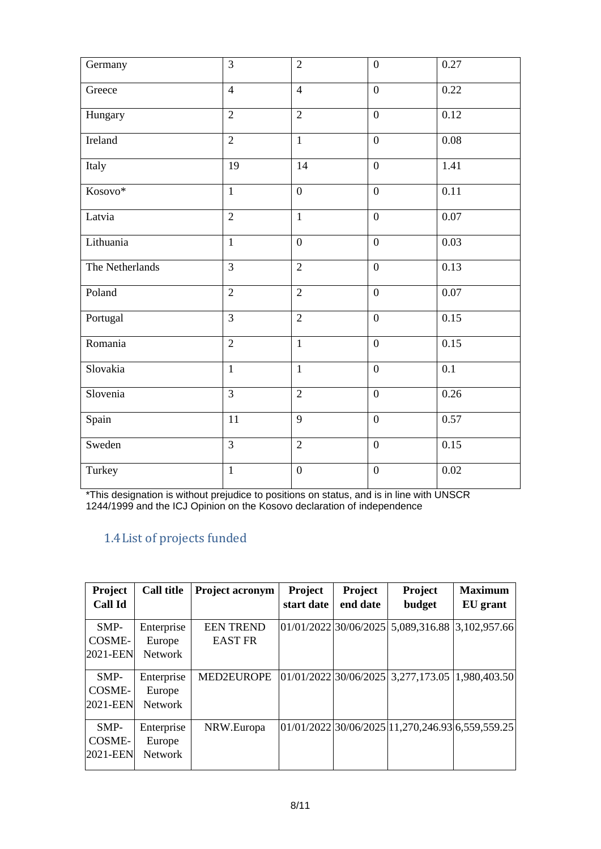| Germany         | $\overline{3}$ | $\overline{2}$   | $\boldsymbol{0}$ | 0.27             |
|-----------------|----------------|------------------|------------------|------------------|
| Greece          | $\overline{4}$ | $\overline{4}$   | $\overline{0}$   | 0.22             |
| Hungary         | $\overline{2}$ | $\overline{2}$   | $\overline{0}$   | 0.12             |
| Ireland         | $\overline{2}$ | $\mathbf{1}$     | $\overline{0}$   | 0.08             |
| Italy           | 19             | 14               | $\boldsymbol{0}$ | 1.41             |
| Kosovo*         | $\mathbf{1}$   | $\boldsymbol{0}$ | $\boldsymbol{0}$ | 0.11             |
| Latvia          | $\overline{2}$ | $\mathbf{1}$     | $\overline{0}$   | 0.07             |
| Lithuania       | $\mathbf{1}$   | $\boldsymbol{0}$ | $\mathbf{0}$     | 0.03             |
| The Netherlands | $\overline{3}$ | $\overline{2}$   | $\overline{0}$   | 0.13             |
| Poland          | $\overline{2}$ | $\overline{2}$   | $\boldsymbol{0}$ | $0.07\,$         |
| Portugal        | $\overline{3}$ | $\overline{2}$   | $\boldsymbol{0}$ | 0.15             |
| Romania         | $\overline{2}$ | $\mathbf{1}$     | $\overline{0}$   | 0.15             |
| Slovakia        | $\mathbf{1}$   | $\mathbf{1}$     | $\overline{0}$   | $0.\overline{1}$ |
| Slovenia        | $\overline{3}$ | $\overline{2}$   | $\overline{0}$   | 0.26             |
| Spain           | 11             | 9                | $\overline{0}$   | 0.57             |
| Sweden          | $\overline{3}$ | $\overline{2}$   | $\boldsymbol{0}$ | 0.15             |
| Turkey          | $\mathbf{1}$   | $\boldsymbol{0}$ | $\boldsymbol{0}$ | 0.02             |

<span id="page-7-0"></span>\*This designation is without prejudice to positions on status, and is in line with UNSCR 1244/1999 and the ICJ Opinion on the Kosovo declaration of independence

## 1.4List of projects funded

| <b>Project</b><br>Call Id    | <b>Call title</b>                      | <b>Project acronym</b>             | Project<br>start date | Project<br>end date | Project<br>budget                                   | <b>Maximum</b><br>EU grant |
|------------------------------|----------------------------------------|------------------------------------|-----------------------|---------------------|-----------------------------------------------------|----------------------------|
| $SMP-$<br>COSME-<br>2021-EEN | Enterprise<br>Europe<br><b>Network</b> | <b>EEN TREND</b><br><b>EAST FR</b> |                       |                     | $[01/01/2022]30/06/2025]$ 5,089,316.88 3,102,957.66 |                            |
| $SMP-$<br>COSME-<br>2021-EEN | Enterprise<br>Europe<br><b>Network</b> | MED2EUROPE                         |                       |                     | $[01/01/2022]30/06/2025]3,277,173.05]1,980,403.50$  |                            |
| $SMP-$<br>COSME-<br>2021-EEN | Enterprise<br>Europe<br><b>Network</b> | NRW.Europa                         |                       |                     | 01/01/2022 30/06/2025 11,270,246.93 6,559,559,25    |                            |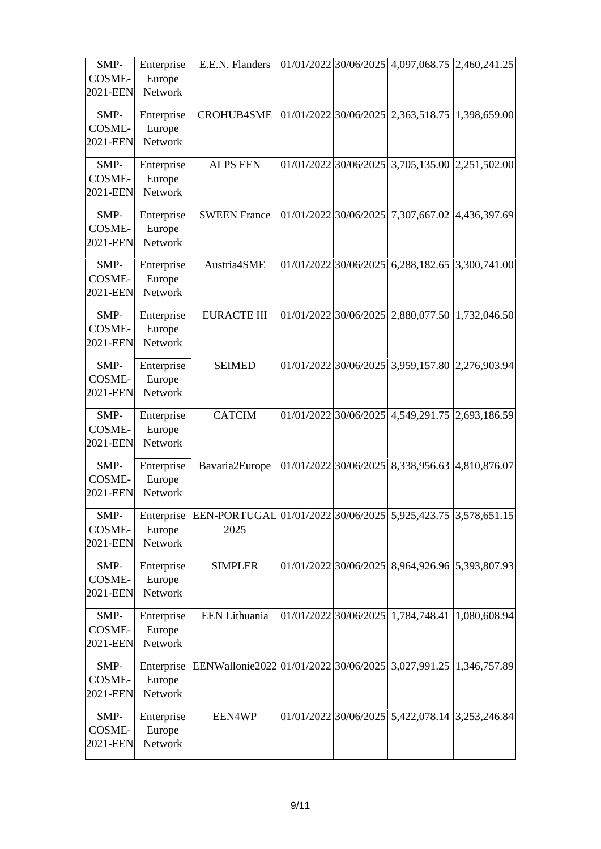| SMP-<br>COSME-<br>2021-EEN | Enterprise<br>Europe<br><b>Network</b> | E.E.N. Flanders                                                      |                       | $[01/01/2022]$ 30/06/2025 4,097,068.75 2,460,241.25 |              |
|----------------------------|----------------------------------------|----------------------------------------------------------------------|-----------------------|-----------------------------------------------------|--------------|
| SMP-<br>COSME-<br>2021-EEN | Enterprise<br>Europe<br>Network        | <b>CROHUB4SME</b>                                                    |                       | $01/01/2022$ 30/06/2025 2,363,518.75                | 1,398,659.00 |
| SMP-<br>COSME-<br>2021-EEN | Enterprise<br>Europe<br>Network        | <b>ALPS EEN</b>                                                      |                       | $01/01/2022$ 30/06/2025 3,705,135.00 2,251,502.00   |              |
| SMP-<br>COSME-<br>2021-EEN | Enterprise<br>Europe<br>Network        | <b>SWEEN France</b>                                                  | 01/01/2022 30/06/2025 | 7,307,667.02                                        | 4,436,397.69 |
| SMP-<br>COSME-<br>2021-EEN | Enterprise<br>Europe<br>Network        | Austria4SME                                                          |                       | $01/01/2022$ 30/06/2025 6,288,182.65 3,300,741.00   |              |
| SMP-<br>COSME-<br>2021-EEN | Enterprise<br>Europe<br>Network        | <b>EURACTE III</b>                                                   |                       | $01/01/2022$ 30/06/2025 2,880,077.50 1,732,046.50   |              |
| SMP-<br>COSME-<br>2021-EEN | Enterprise<br>Europe<br>Network        | <b>SEIMED</b>                                                        |                       | 01/01/2022 30/06/2025 3,959,157.80 2,276,903.94     |              |
| SMP-<br>COSME-<br>2021-EEN | Enterprise<br>Europe<br>Network        | <b>CATCIM</b>                                                        | 01/01/2022 30/06/2025 | 4,549,291.75                                        | 2,693,186.59 |
| SMP-<br>COSME-<br>2021-EEN | Enterprise<br>Europe<br>Network        | Bavaria2Europe                                                       |                       | 01/01/2022 30/06/2025 8,338,956.63                  | 4,810,876.07 |
| SMP-<br>COSME-<br>2021-EEN | Enterprise<br>Europe<br>Network        | EEN-PORTUGAL 01/01/2022 30/06/2025 5,925,423.75 3,578,651.15<br>2025 |                       |                                                     |              |
| SMP-<br>COSME-<br>2021-EEN | Enterprise<br>Europe<br>Network        | <b>SIMPLER</b>                                                       |                       | 01/01/2022 30/06/2025 8,964,926.96 5,393,807.93     |              |
| SMP-<br>COSME-<br>2021-EEN | Enterprise<br>Europe<br>Network        | EEN Lithuania                                                        |                       | $01/01/2022$ 30/06/2025 1,784,748.41 1,080,608.94   |              |
| SMP-<br>COSME-<br>2021-EEN | Enterprise<br>Europe<br>Network        | EENWallonie2022 01/01/2022 30/06/2025 3,027,991.25 1,346,757.89      |                       |                                                     |              |
| SMP-<br>COSME-<br>2021-EEN | Enterprise<br>Europe<br>Network        | EEN4WP                                                               | 01/01/2022 30/06/2025 | 5,422,078.14 3,253,246.84                           |              |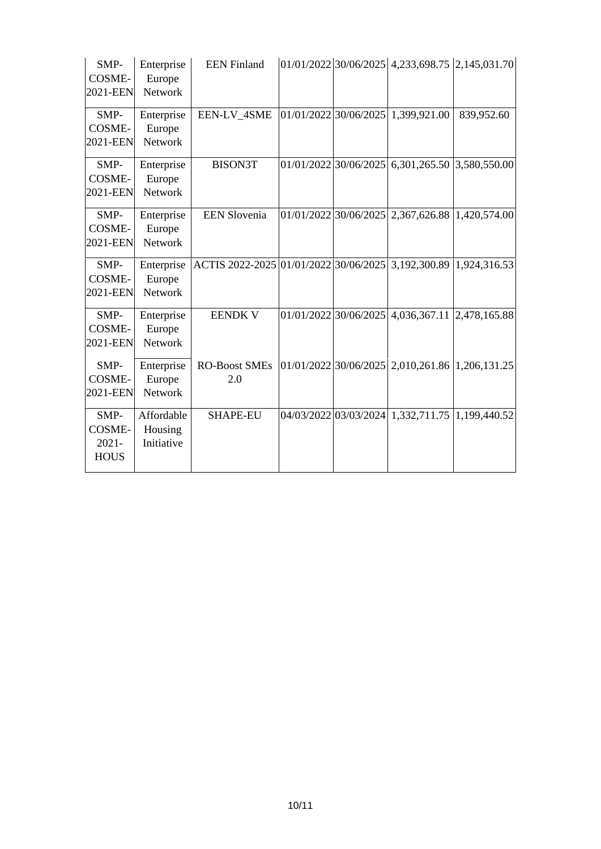| SMP-<br>COSME-<br>2021-EEN                | Enterprise<br>Europe<br>Network     | <b>EEN</b> Finland                                              |  | $01/01/2022$ 30/06/2025 4,233,698.75 2,145,031.70 |            |
|-------------------------------------------|-------------------------------------|-----------------------------------------------------------------|--|---------------------------------------------------|------------|
| SMP-<br>COSME-<br>2021-EEN                | Enterprise<br>Europe<br>Network     | EEN-LV_4SME                                                     |  | $[01/01/2022]$ 30/06/2025 1,399,921.00            | 839,952.60 |
| SMP-<br>COSME-<br>2021-EEN                | Enterprise<br>Europe<br>Network     | <b>BISON3T</b>                                                  |  | $01/01/2022$ 30/06/2025 6,301,265.50 3,580,550.00 |            |
| SMP-<br>COSME-<br>2021-EEN                | Enterprise<br>Europe<br>Network     | <b>EEN Slovenia</b>                                             |  | $01/01/2022$ 30/06/2025 2,367,626.88 1,420,574.00 |            |
| SMP-<br>COSME-<br>2021-EEN                | Enterprise<br>Europe<br>Network     | ACTIS 2022-2025 01/01/2022 30/06/2025 3,192,300.89 1,924,316.53 |  |                                                   |            |
| SMP-<br>COSME-<br>2021-EEN                | Enterprise<br>Europe<br>Network     | <b>EENDK V</b>                                                  |  | $01/01/2022$ 30/06/2025 4,036,367.11 2,478,165.88 |            |
| SMP-<br>COSME-<br>2021-EEN                | Enterprise<br>Europe<br>Network     | <b>RO-Boost SMEs</b><br>2.0                                     |  | $01/01/2022$ 30/06/2025 2,010,261.86 1,206,131.25 |            |
| SMP-<br>COSME-<br>$2021 -$<br><b>HOUS</b> | Affordable<br>Housing<br>Initiative | <b>SHAPE-EU</b>                                                 |  | 04/03/2022 03/03/2024 1,332,711.75 1,199,440.52   |            |